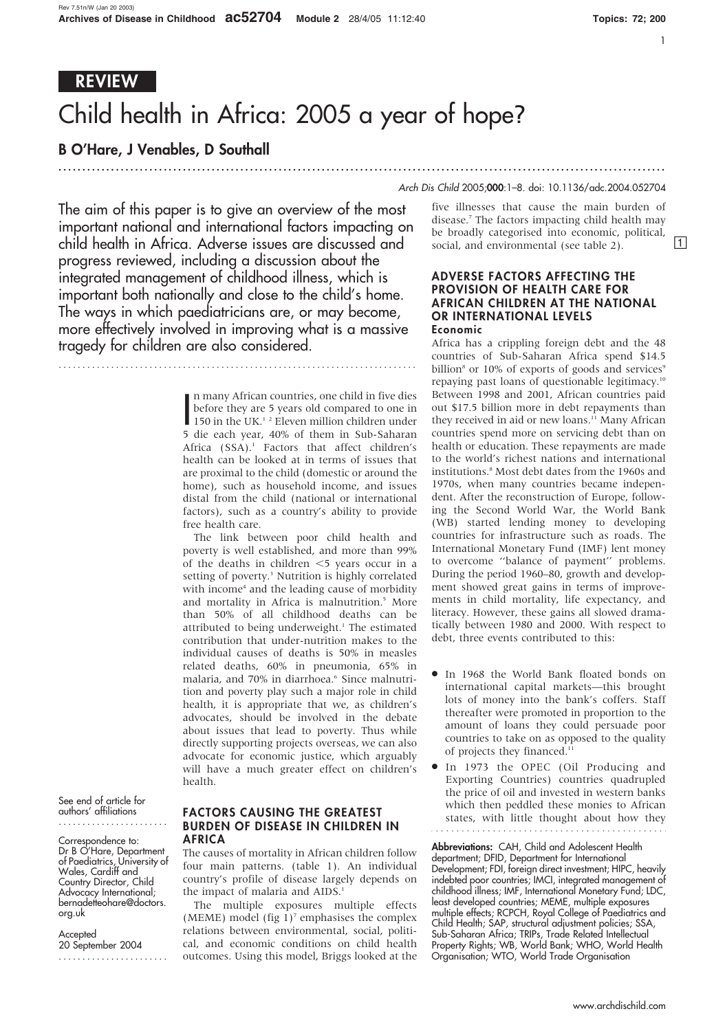# REVIEW

# Child health in Africa: 2005 a year of hope?

...............................................................................................................................

# B O'Hare, J Venables, D Southall

### Arch Dis Child 2005;000:1–8. doi: 10.1136/adc.2004.052704

The aim of this paper is to give an overview of the most important national and international factors impacting on child health in Africa. Adverse issues are discussed and progress reviewed, including a discussion about the integrated management of childhood illness, which is important both nationally and close to the child's home. The ways in which paediatricians are, or may become, more effectively involved in improving what is a massive tragedy for children are also considered.

In many African countries, one child in five dies<br>before they are 5 years old compared to one in<br>150 in the UK.<sup>1 2</sup> Eleven million children under n many African countries, one child in five dies before they are 5 years old compared to one in 5 die each year, 40% of them in Sub-Saharan Africa (SSA).<sup>1</sup> Factors that affect children's health can be looked at in terms of issues that are proximal to the child (domestic or around the home), such as household income, and issues distal from the child (national or international factors), such as a country's ability to provide free health care.

The link between poor child health and poverty is well established, and more than 99% of the deaths in children  $\leq$  years occur in a setting of poverty.<sup>3</sup> Nutrition is highly correlated with income<sup>4</sup> and the leading cause of morbidity and mortality in Africa is malnutrition.<sup>5</sup> More than 50% of all childhood deaths can be attributed to being underweight.<sup>1</sup> The estimated contribution that under-nutrition makes to the individual causes of deaths is 50% in measles related deaths, 60% in pneumonia, 65% in malaria, and 70% in diarrhoea.<sup>6</sup> Since malnutrition and poverty play such a major role in child health, it is appropriate that we, as children's advocates, should be involved in the debate about issues that lead to poverty. Thus while directly supporting projects overseas, we can also advocate for economic justice, which arguably will have a much greater effect on children's health.

See end of article for authors' affiliations .......................

Correspondence to: Dr B O'Hare, Department of Paediatrics, University of Wales, Cardiff and Country Director, Child Advocacy International; bernadetteohare@doctors. org.uk

**Accepted** 20 September 2004 .......................

## FACTORS CAUSING THE GREATEST BURDEN OF DISEASE IN CHILDREN IN **AFRICA**

The causes of mortality in African children follow four main patterns. (table 1). An individual country's profile of disease largely depends on the impact of malaria and AIDS.<sup>1</sup>

The multiple exposures multiple effects (MEME) model (fig  $1$ )<sup>7</sup> emphasises the complex relations between environmental, social, political, and economic conditions on child health outcomes. Using this model, Briggs looked at the

five illnesses that cause the main burden of disease.7 The factors impacting child health may be broadly categorised into economic, political, social, and environmental (see table 2).  $[1]$ 

#### ADVERSE FACTORS AFFECTING THE PROVISION OF HEALTH CARE FOR AFRICAN CHILDREN AT THE NATIONAL OR INTERNATIONAL LEVELS Economic

Africa has a crippling foreign debt and the 48 countries of Sub-Saharan Africa spend \$14.5 billion<sup>8</sup> or 10% of exports of goods and services<sup>9</sup> repaying past loans of questionable legitimacy.10 Between 1998 and 2001, African countries paid out \$17.5 billion more in debt repayments than they received in aid or new loans.<sup>11</sup> Many African countries spend more on servicing debt than on health or education. These repayments are made to the world's richest nations and international institutions.8 Most debt dates from the 1960s and 1970s, when many countries became independent. After the reconstruction of Europe, following the Second World War, the World Bank (WB) started lending money to developing countries for infrastructure such as roads. The International Monetary Fund (IMF) lent money to overcome ''balance of payment'' problems. During the period 1960–80, growth and development showed great gains in terms of improvements in child mortality, life expectancy, and literacy. However, these gains all slowed dramatically between 1980 and 2000. With respect to debt, three events contributed to this:

- In 1968 the World Bank floated bonds on international capital markets—this brought lots of money into the bank's coffers. Staff thereafter were promoted in proportion to the amount of loans they could persuade poor countries to take on as opposed to the quality of projects they financed.<sup>11</sup>
- $\bullet$  In 1973 the OPEC (Oil Producing and Exporting Countries) countries quadrupled the price of oil and invested in western banks which then peddled these monies to African states, with little thought about how they

Abbreviations: CAH, Child and Adolescent Health department; DFID, Department for International Development; FDI, foreign direct investment; HIPC, heavily indebted poor countries; IMCI, integrated management of childhood illness; IMF, International Monetary Fund; LDC, least developed countries; MEME, multiple exposures multiple effects; RCPCH, Royal College of Paediatrics and Child Health; SAP, structural adjustment policies; SSA, Sub-Saharan Africa; TRIPs, Trade Related Intellectual Property Rights; WB, World Bank; WHO, World Health Organisation; WTO, World Trade Organisation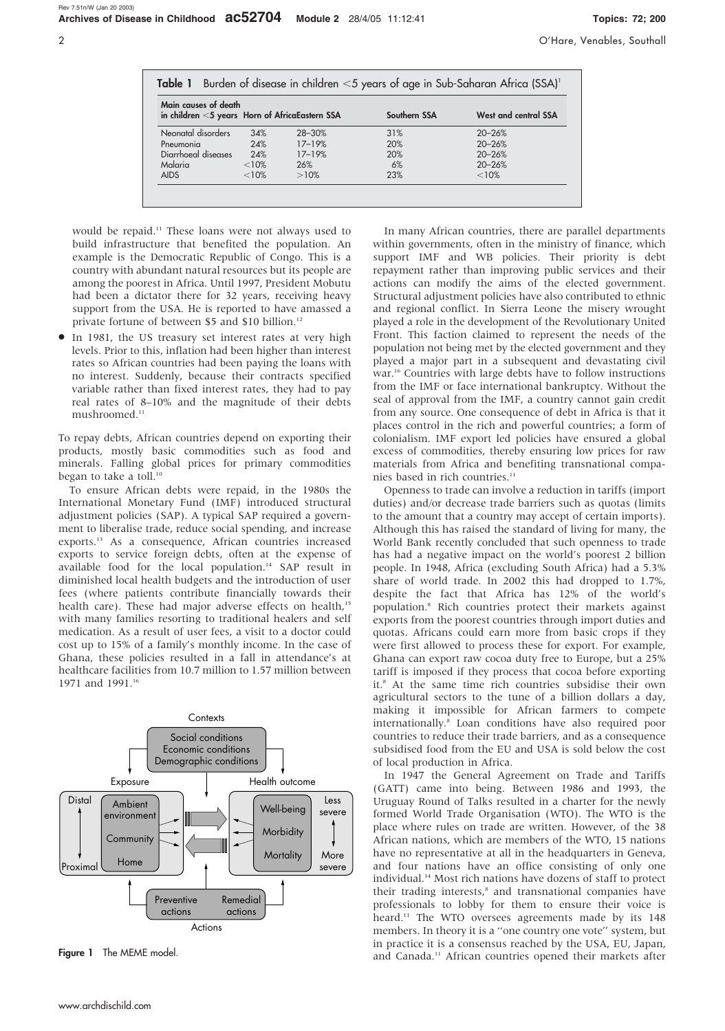| Main causes of death                              |         |            |              |                      |
|---------------------------------------------------|---------|------------|--------------|----------------------|
| in children $<$ 5 years Horn of AfricaEastern SSA |         |            | Southern SSA | West and central SSA |
| Neonatal disorders                                | 34%     | $28 - 30%$ | 31%          | $20 - 26%$           |
| Pneumonia                                         | 24%     | $17 - 19%$ | 20%          | $20 - 26%$           |
| Diarrhoeal diseases                               | 24%     | $17 - 19%$ | 20%          | $20 - 26%$           |
| Malaria                                           | $<10\%$ | 26%        | 6%           | $20 - 26%$           |
| <b>AIDS</b>                                       | $<10\%$ | >10%       | 23%          | $< 10\%$             |

would be repaid.11 These loans were not always used to build infrastructure that benefited the population. An example is the Democratic Republic of Congo. This is a country with abundant natural resources but its people are among the poorest in Africa. Until 1997, President Mobutu had been a dictator there for 32 years, receiving heavy support from the USA. He is reported to have amassed a private fortune of between \$5 and \$10 billion.<sup>12</sup>

In 1981, the US treasury set interest rates at very high levels. Prior to this, inflation had been higher than interest rates so African countries had been paying the loans with no interest. Suddenly, because their contracts specified variable rather than fixed interest rates, they had to pay real rates of 8–10% and the magnitude of their debts mushroomed.<sup>11</sup>

To repay debts, African countries depend on exporting their products, mostly basic commodities such as food and minerals. Falling global prices for primary commodities began to take a toll.<sup>10</sup>

To ensure African debts were repaid, in the 1980s the International Monetary Fund (IMF) introduced structural adjustment policies (SAP). A typical SAP required a government to liberalise trade, reduce social spending, and increase exports.13 As a consequence, African countries increased exports to service foreign debts, often at the expense of available food for the local population.<sup>14</sup> SAP result in diminished local health budgets and the introduction of user fees (where patients contribute financially towards their health care). These had major adverse effects on health,<sup>15</sup> with many families resorting to traditional healers and self medication. As a result of user fees, a visit to a doctor could cost up to 15% of a family's monthly income. In the case of Ghana, these policies resulted in a fall in attendance's at healthcare facilities from 10.7 million to 1.57 million between 1971 and 1991.<sup>16</sup>



Figure 1 The MEME model.

In many African countries, there are parallel departments within governments, often in the ministry of finance, which support IMF and WB policies. Their priority is debt repayment rather than improving public services and their actions can modify the aims of the elected government. Structural adjustment policies have also contributed to ethnic and regional conflict. In Sierra Leone the misery wrought played a role in the development of the Revolutionary United Front. This faction claimed to represent the needs of the population not being met by the elected government and they played a major part in a subsequent and devastating civil war.<sup>16</sup> Countries with large debts have to follow instructions from the IMF or face international bankruptcy. Without the seal of approval from the IMF, a country cannot gain credit from any source. One consequence of debt in Africa is that it places control in the rich and powerful countries; a form of colonialism. IMF export led policies have ensured a global excess of commodities, thereby ensuring low prices for raw materials from Africa and benefiting transnational companies based in rich countries.<sup>11</sup>

Openness to trade can involve a reduction in tariffs (import duties) and/or decrease trade barriers such as quotas (limits to the amount that a country may accept of certain imports). Although this has raised the standard of living for many, the World Bank recently concluded that such openness to trade has had a negative impact on the world's poorest 2 billion people. In 1948, Africa (excluding South Africa) had a 5.3% share of world trade. In 2002 this had dropped to 1.7%, despite the fact that Africa has 12% of the world's population.8 Rich countries protect their markets against exports from the poorest countries through import duties and quotas. Africans could earn more from basic crops if they were first allowed to process these for export. For example, Ghana can export raw cocoa duty free to Europe, but a 25% tariff is imposed if they process that cocoa before exporting it.8 At the same time rich countries subsidise their own agricultural sectors to the tune of a billion dollars a day, making it impossible for African farmers to compete internationally.8 Loan conditions have also required poor countries to reduce their trade barriers, and as a consequence subsidised food from the EU and USA is sold below the cost of local production in Africa.

In 1947 the General Agreement on Trade and Tariffs (GATT) came into being. Between 1986 and 1993, the Uruguay Round of Talks resulted in a charter for the newly formed World Trade Organisation (WTO). The WTO is the place where rules on trade are written. However, of the 38 African nations, which are members of the WTO, 15 nations have no representative at all in the headquarters in Geneva, and four nations have an office consisting of only one individual.14 Most rich nations have dozens of staff to protect their trading interests,<sup>8</sup> and transnational companies have professionals to lobby for them to ensure their voice is heard.<sup>11</sup> The WTO oversees agreements made by its 148 members. In theory it is a ''one country one vote'' system, but in practice it is a consensus reached by the USA, EU, Japan, and Canada.<sup>11</sup> African countries opened their markets after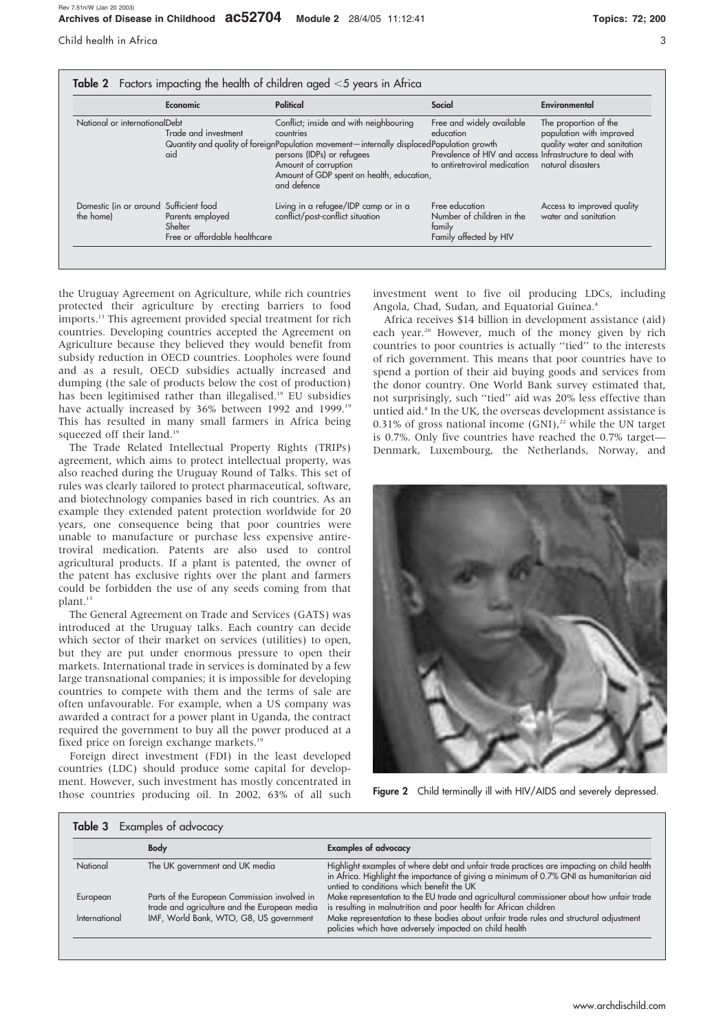|                                                     | Economic                                                     | Political                                                                                                                                                                                                                                                         | Social                                                                                                                             | Environmental                                                                                          |
|-----------------------------------------------------|--------------------------------------------------------------|-------------------------------------------------------------------------------------------------------------------------------------------------------------------------------------------------------------------------------------------------------------------|------------------------------------------------------------------------------------------------------------------------------------|--------------------------------------------------------------------------------------------------------|
| National or internationalDebt                       | Trade and investment<br>aid                                  | Conflict; inside and with neighbouring<br>countries<br>Quantity and quality of foreignPopulation movement—internally displacedPopulation growth<br>persons (IDPs) or refugees<br>Amount of corruption<br>Amount of GDP spent on health, education,<br>and defence | Free and widely available<br>education<br>Prevalence of HIV and access Infrastructure to deal with<br>to antiretroviral medication | The proportion of the<br>population with improved<br>quality water and sanitation<br>natural disasters |
| Domestic (in or around Sufficient food<br>the home) | Parents employed<br>Shelter<br>Free or affordable healthcare | Living in a refugee/IDP camp or in a<br>conflict/post-conflict situation                                                                                                                                                                                          | Free education<br>Number of children in the<br>family<br>Family affected by HIV                                                    | Access to improved quality<br>water and sanitation                                                     |

the Uruguay Agreement on Agriculture, while rich countries protected their agriculture by erecting barriers to food imports.<sup>13</sup> This agreement provided special treatment for rich countries. Developing countries accepted the Agreement on Agriculture because they believed they would benefit from subsidy reduction in OECD countries. Loopholes were found and as a result, OECD subsidies actually increased and dumping (the sale of products below the cost of production) has been legitimised rather than illegalised.19 EU subsidies have actually increased by 36% between 1992 and 1999.<sup>19</sup> This has resulted in many small farmers in Africa being squeezed off their land.<sup>19</sup>

The Trade Related Intellectual Property Rights (TRIPs) agreement, which aims to protect intellectual property, was also reached during the Uruguay Round of Talks. This set of rules was clearly tailored to protect pharmaceutical, software, and biotechnology companies based in rich countries. As an example they extended patent protection worldwide for 20 years, one consequence being that poor countries were unable to manufacture or purchase less expensive antiretroviral medication. Patents are also used to control agricultural products. If a plant is patented, the owner of the patent has exclusive rights over the plant and farmers could be forbidden the use of any seeds coming from that plant.<sup>13</sup>

The General Agreement on Trade and Services (GATS) was introduced at the Uruguay talks. Each country can decide which sector of their market on services (utilities) to open, but they are put under enormous pressure to open their markets. International trade in services is dominated by a few large transnational companies; it is impossible for developing countries to compete with them and the terms of sale are often unfavourable. For example, when a US company was awarded a contract for a power plant in Uganda, the contract required the government to buy all the power produced at a fixed price on foreign exchange markets.<sup>19</sup>

Foreign direct investment (FDI) in the least developed countries (LDC) should produce some capital for development. However, such investment has mostly concentrated in those countries producing oil. In 2002, 63% of all such investment went to five oil producing LDCs, including Angola, Chad, Sudan, and Equatorial Guinea.<sup>4</sup>

Africa receives \$14 billion in development assistance (aid) each year.<sup>20</sup> However, much of the money given by rich countries to poor countries is actually ''tied'' to the interests of rich government. This means that poor countries have to spend a portion of their aid buying goods and services from the donor country. One World Bank survey estimated that, not surprisingly, such ''tied'' aid was 20% less effective than untied aid.<sup>8</sup> In the UK, the overseas development assistance is 0.31% of gross national income (GNI),<sup>22</sup> while the UN target is 0.7%. Only five countries have reached the 0.7% target— Denmark, Luxembourg, the Netherlands, Norway, and



Figure 2 Child terminally ill with HIV/AIDS and severely depressed.

|               | <b>Body</b>                                                                                  | <b>Examples of advocacy</b>                                                                                                                                                                                                       |
|---------------|----------------------------------------------------------------------------------------------|-----------------------------------------------------------------------------------------------------------------------------------------------------------------------------------------------------------------------------------|
| National      | The UK government and UK media                                                               | Highlight examples of where debt and unfair trade practices are impacting on child health<br>in Africa. Highlight the importance of giving a minimum of 0.7% GNI as humanitarian aid<br>untied to conditions which benefit the UK |
| European      | Parts of the European Commission involved in<br>trade and agriculture and the European media | Make representation to the EU trade and agricultural commissioner about how unfair trade<br>is resulting in malnutrition and poor health for African children                                                                     |
| International | IMF, World Bank, WTO, G8, US government                                                      | Make representation to these bodies about unfair trade rules and structural adjustment<br>policies which have adversely impacted on child health                                                                                  |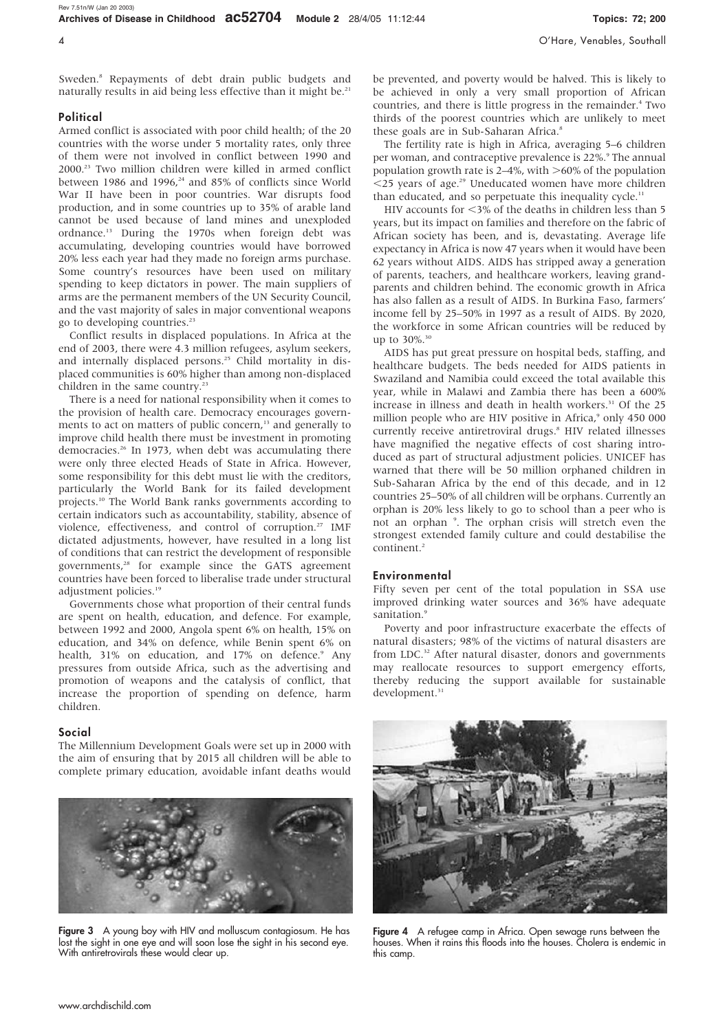Sweden.8 Repayments of debt drain public budgets and naturally results in aid being less effective than it might be.<sup>21</sup>

#### **Political**

Armed conflict is associated with poor child health; of the 20 countries with the worse under 5 mortality rates, only three of them were not involved in conflict between 1990 and 2000.23 Two million children were killed in armed conflict between 1986 and 1996, $24$  and 85% of conflicts since World War II have been in poor countries. War disrupts food production, and in some countries up to 35% of arable land cannot be used because of land mines and unexploded ordnance.13 During the 1970s when foreign debt was accumulating, developing countries would have borrowed 20% less each year had they made no foreign arms purchase. Some country's resources have been used on military spending to keep dictators in power. The main suppliers of arms are the permanent members of the UN Security Council, and the vast majority of sales in major conventional weapons go to developing countries.23

Conflict results in displaced populations. In Africa at the end of 2003, there were 4.3 million refugees, asylum seekers, and internally displaced persons.<sup>25</sup> Child mortality in displaced communities is 60% higher than among non-displaced children in the same country.<sup>23</sup>

There is a need for national responsibility when it comes to the provision of health care. Democracy encourages governments to act on matters of public concern,<sup>13</sup> and generally to improve child health there must be investment in promoting democracies.26 In 1973, when debt was accumulating there were only three elected Heads of State in Africa. However, some responsibility for this debt must lie with the creditors, particularly the World Bank for its failed development projects.10 The World Bank ranks governments according to certain indicators such as accountability, stability, absence of violence, effectiveness, and control of corruption.<sup>27</sup> IMF dictated adjustments, however, have resulted in a long list of conditions that can restrict the development of responsible governments,<sup>28</sup> for example since the GATS agreement countries have been forced to liberalise trade under structural adjustment policies.<sup>19</sup>

Governments chose what proportion of their central funds are spent on health, education, and defence. For example, between 1992 and 2000, Angola spent 6% on health, 15% on education, and 34% on defence, while Benin spent 6% on health, 31% on education, and 17% on defence.<sup>9</sup> Any pressures from outside Africa, such as the advertising and promotion of weapons and the catalysis of conflict, that increase the proportion of spending on defence, harm children.

#### Social

The Millennium Development Goals were set up in 2000 with the aim of ensuring that by 2015 all children will be able to complete primary education, avoidable infant deaths would



Figure 3 A young boy with HIV and molluscum contagiosum. He has lost the sight in one eye and will soon lose the sight in his second eye. With antiretrovirals these would clear up.

be prevented, and poverty would be halved. This is likely to be achieved in only a very small proportion of African countries, and there is little progress in the remainder.<sup>4</sup> Two thirds of the poorest countries which are unlikely to meet these goals are in Sub-Saharan Africa.<sup>8</sup>

The fertility rate is high in Africa, averaging 5–6 children per woman, and contraceptive prevalence is 22%.<sup>9</sup> The annual population growth rate is  $2-4\%$ , with  $>60\%$  of the population  $<$ 25 years of age.<sup>29</sup> Uneducated women have more children than educated, and so perpetuate this inequality cycle.<sup>11</sup>

HIV accounts for  $\leq$ 3% of the deaths in children less than 5 years, but its impact on families and therefore on the fabric of African society has been, and is, devastating. Average life expectancy in Africa is now 47 years when it would have been 62 years without AIDS. AIDS has stripped away a generation of parents, teachers, and healthcare workers, leaving grandparents and children behind. The economic growth in Africa has also fallen as a result of AIDS. In Burkina Faso, farmers' income fell by 25–50% in 1997 as a result of AIDS. By 2020, the workforce in some African countries will be reduced by up to  $30\%$ . 30

AIDS has put great pressure on hospital beds, staffing, and healthcare budgets. The beds needed for AIDS patients in Swaziland and Namibia could exceed the total available this year, while in Malawi and Zambia there has been a 600% increase in illness and death in health workers.<sup>31</sup> Of the 25 million people who are HIV positive in Africa,<sup>9</sup> only 450 000 currently receive antiretroviral drugs.<sup>8</sup> HIV related illnesses have magnified the negative effects of cost sharing introduced as part of structural adjustment policies. UNICEF has warned that there will be 50 million orphaned children in Sub-Saharan Africa by the end of this decade, and in 12 countries 25–50% of all children will be orphans. Currently an orphan is 20% less likely to go to school than a peer who is not an orphan <sup>9</sup> . The orphan crisis will stretch even the strongest extended family culture and could destabilise the continent.<sup>2</sup>

#### Environmental

Fifty seven per cent of the total population in SSA use improved drinking water sources and 36% have adequate sanitation.<sup>9</sup>

Poverty and poor infrastructure exacerbate the effects of natural disasters; 98% of the victims of natural disasters are from LDC.<sup>32</sup> After natural disaster, donors and governments may reallocate resources to support emergency efforts, thereby reducing the support available for sustainable development.<sup>31</sup>



Figure 4 A refugee camp in Africa. Open sewage runs between the houses. When it rains this floods into the houses. Cholera is endemic in this camp.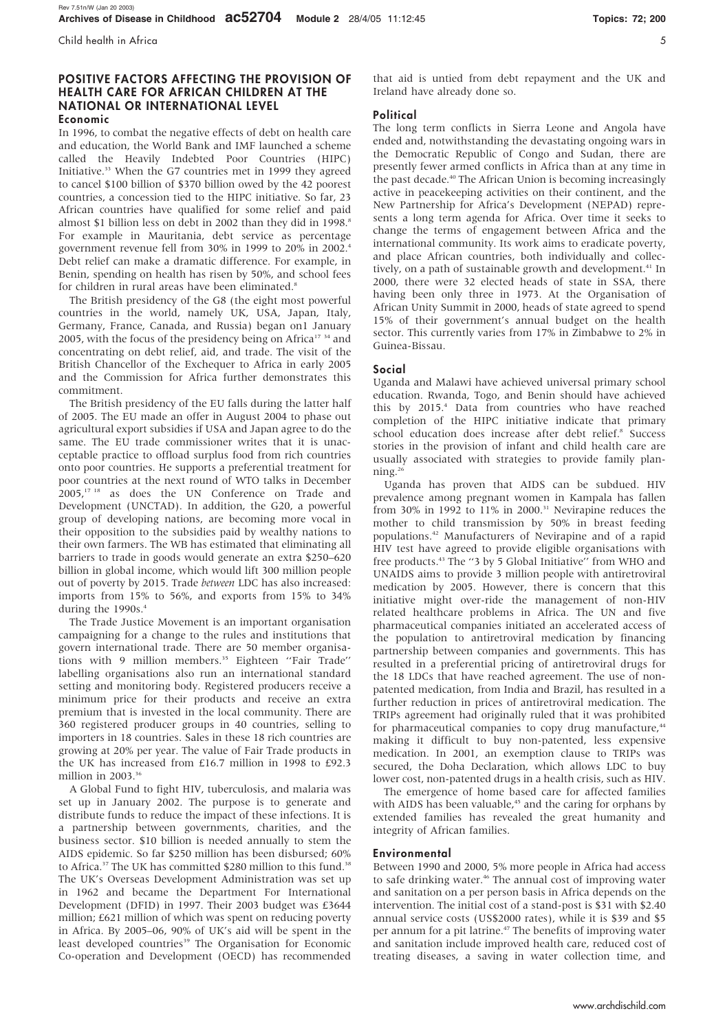#### POSITIVE FACTORS AFFECTING THE PROVISION OF HEALTH CARE FOR AFRICAN CHILDREN AT THE NATIONAL OR INTERNATIONAL LEVEL Economic

In 1996, to combat the negative effects of debt on health care and education, the World Bank and IMF launched a scheme called the Heavily Indebted Poor Countries (HIPC) Initiative.33 When the G7 countries met in 1999 they agreed to cancel \$100 billion of \$370 billion owed by the 42 poorest countries, a concession tied to the HIPC initiative. So far, 23 African countries have qualified for some relief and paid almost \$1 billion less on debt in 2002 than they did in 1998.<sup>8</sup> For example in Mauritania, debt service as percentage government revenue fell from 30% in 1999 to 20% in 2002.4 Debt relief can make a dramatic difference. For example, in Benin, spending on health has risen by 50%, and school fees for children in rural areas have been eliminated.<sup>8</sup>

The British presidency of the G8 (the eight most powerful countries in the world, namely UK, USA, Japan, Italy, Germany, France, Canada, and Russia) began on1 January 2005, with the focus of the presidency being on Africa<sup>17</sup>  $34$  and concentrating on debt relief, aid, and trade. The visit of the British Chancellor of the Exchequer to Africa in early 2005 and the Commission for Africa further demonstrates this commitment.

The British presidency of the EU falls during the latter half of 2005. The EU made an offer in August 2004 to phase out agricultural export subsidies if USA and Japan agree to do the same. The EU trade commissioner writes that it is unacceptable practice to offload surplus food from rich countries onto poor countries. He supports a preferential treatment for poor countries at the next round of WTO talks in December 2005,17 18 as does the UN Conference on Trade and Development (UNCTAD). In addition, the G20, a powerful group of developing nations, are becoming more vocal in their opposition to the subsidies paid by wealthy nations to their own farmers. The WB has estimated that eliminating all barriers to trade in goods would generate an extra \$250–620 billion in global income, which would lift 300 million people out of poverty by 2015. Trade between LDC has also increased: imports from 15% to 56%, and exports from 15% to 34% during the  $1990s.<sup>4</sup>$ 

The Trade Justice Movement is an important organisation campaigning for a change to the rules and institutions that govern international trade. There are 50 member organisations with 9 million members.<sup>35</sup> Eighteen "Fair Trade" labelling organisations also run an international standard setting and monitoring body. Registered producers receive a minimum price for their products and receive an extra premium that is invested in the local community. There are 360 registered producer groups in 40 countries, selling to importers in 18 countries. Sales in these 18 rich countries are growing at 20% per year. The value of Fair Trade products in the UK has increased from £16.7 million in 1998 to £92.3 million in 2003.<sup>36</sup>

A Global Fund to fight HIV, tuberculosis, and malaria was set up in January 2002. The purpose is to generate and distribute funds to reduce the impact of these infections. It is a partnership between governments, charities, and the business sector. \$10 billion is needed annually to stem the AIDS epidemic. So far \$250 million has been disbursed; 60% to Africa.<sup>37</sup> The UK has committed \$280 million to this fund.<sup>38</sup> The UK's Overseas Development Administration was set up in 1962 and became the Department For International Development (DFID) in 1997. Their 2003 budget was £3644 million; £621 million of which was spent on reducing poverty in Africa. By 2005–06, 90% of UK's aid will be spent in the least developed countries<sup>39</sup> The Organisation for Economic Co-operation and Development (OECD) has recommended

that aid is untied from debt repayment and the UK and Ireland have already done so.

## **Political**

The long term conflicts in Sierra Leone and Angola have ended and, notwithstanding the devastating ongoing wars in the Democratic Republic of Congo and Sudan, there are presently fewer armed conflicts in Africa than at any time in the past decade.<sup>40</sup> The African Union is becoming increasingly active in peacekeeping activities on their continent, and the New Partnership for Africa's Development (NEPAD) represents a long term agenda for Africa. Over time it seeks to change the terms of engagement between Africa and the international community. Its work aims to eradicate poverty, and place African countries, both individually and collectively, on a path of sustainable growth and development.<sup>41</sup> In 2000, there were 32 elected heads of state in SSA, there having been only three in 1973. At the Organisation of African Unity Summit in 2000, heads of state agreed to spend 15% of their government's annual budget on the health sector. This currently varies from 17% in Zimbabwe to 2% in Guinea-Bissau.

### Social

Uganda and Malawi have achieved universal primary school education. Rwanda, Togo, and Benin should have achieved this by 2015.4 Data from countries who have reached completion of the HIPC initiative indicate that primary school education does increase after debt relief.<sup>8</sup> Success stories in the provision of infant and child health care are usually associated with strategies to provide family planning.26

Uganda has proven that AIDS can be subdued. HIV prevalence among pregnant women in Kampala has fallen from 30% in 1992 to 11% in 2000.<sup>31</sup> Nevirapine reduces the mother to child transmission by 50% in breast feeding populations.42 Manufacturers of Nevirapine and of a rapid HIV test have agreed to provide eligible organisations with free products.<sup>43</sup> The "3 by 5 Global Initiative" from WHO and UNAIDS aims to provide 3 million people with antiretroviral medication by 2005. However, there is concern that this initiative might over-ride the management of non-HIV related healthcare problems in Africa. The UN and five pharmaceutical companies initiated an accelerated access of the population to antiretroviral medication by financing partnership between companies and governments. This has resulted in a preferential pricing of antiretroviral drugs for the 18 LDCs that have reached agreement. The use of nonpatented medication, from India and Brazil, has resulted in a further reduction in prices of antiretroviral medication. The TRIPs agreement had originally ruled that it was prohibited for pharmaceutical companies to copy drug manufacture,<sup>44</sup> making it difficult to buy non-patented, less expensive medication. In 2001, an exemption clause to TRIPs was secured, the Doha Declaration, which allows LDC to buy lower cost, non-patented drugs in a health crisis, such as HIV.

The emergence of home based care for affected families with AIDS has been valuable,<sup>45</sup> and the caring for orphans by extended families has revealed the great humanity and integrity of African families.

#### Environmental

Between 1990 and 2000, 5% more people in Africa had access to safe drinking water.<sup>46</sup> The annual cost of improving water and sanitation on a per person basis in Africa depends on the intervention. The initial cost of a stand-post is \$31 with \$2.40 annual service costs (US\$2000 rates), while it is \$39 and \$5 per annum for a pit latrine.47 The benefits of improving water and sanitation include improved health care, reduced cost of treating diseases, a saving in water collection time, and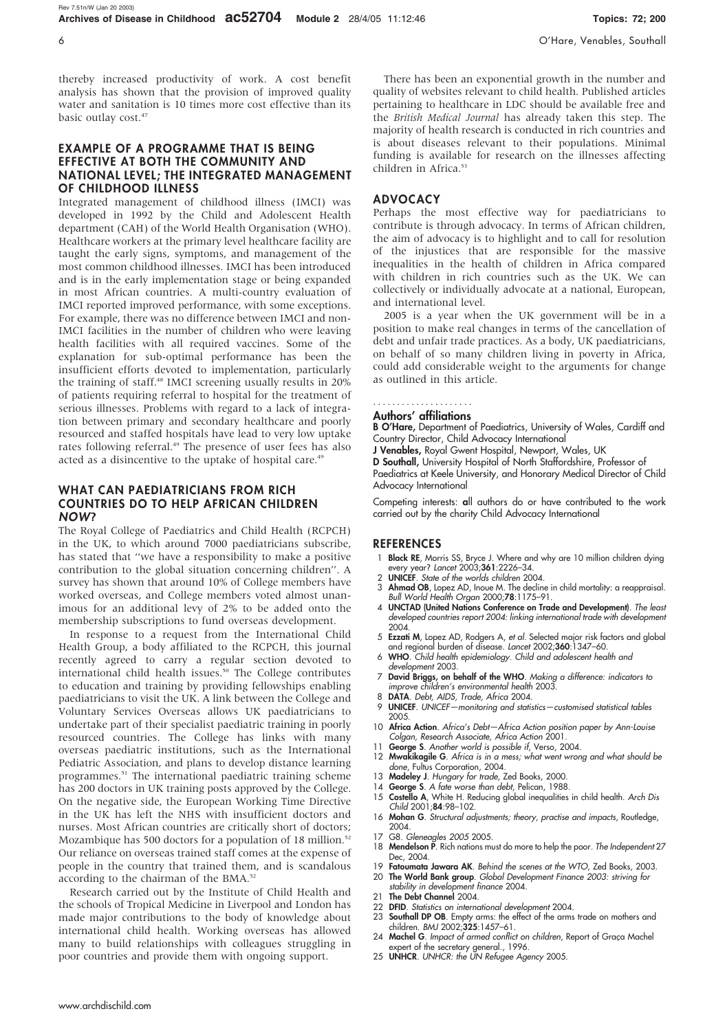thereby increased productivity of work. A cost benefit analysis has shown that the provision of improved quality water and sanitation is 10 times more cost effective than its basic outlay cost.<sup>47</sup>

### EXAMPLE OF A PROGRAMME THAT IS BEING EFFECTIVE AT BOTH THE COMMUNITY AND NATIONAL LEVEL; THE INTEGRATED MANAGEMENT OF CHILDHOOD ILLNESS

Integrated management of childhood illness (IMCI) was developed in 1992 by the Child and Adolescent Health department (CAH) of the World Health Organisation (WHO). Healthcare workers at the primary level healthcare facility are taught the early signs, symptoms, and management of the most common childhood illnesses. IMCI has been introduced and is in the early implementation stage or being expanded in most African countries. A multi-country evaluation of IMCI reported improved performance, with some exceptions. For example, there was no difference between IMCI and non-IMCI facilities in the number of children who were leaving health facilities with all required vaccines. Some of the explanation for sub-optimal performance has been the insufficient efforts devoted to implementation, particularly the training of staff.<sup>48</sup> IMCI screening usually results in 20% of patients requiring referral to hospital for the treatment of serious illnesses. Problems with regard to a lack of integration between primary and secondary healthcare and poorly resourced and staffed hospitals have lead to very low uptake rates following referral.<sup>49</sup> The presence of user fees has also acted as a disincentive to the uptake of hospital care.<sup>49</sup>

#### WHAT CAN PAEDIATRICIANS FROM RICH COUNTRIES DO TO HELP AFRICAN CHILDREN NOW?

The Royal College of Paediatrics and Child Health (RCPCH) in the UK, to which around 7000 paediatricians subscribe, has stated that ''we have a responsibility to make a positive contribution to the global situation concerning children''. A survey has shown that around 10% of College members have worked overseas, and College members voted almost unanimous for an additional levy of 2% to be added onto the membership subscriptions to fund overseas development.

In response to a request from the International Child Health Group, a body affiliated to the RCPCH, this journal recently agreed to carry a regular section devoted to international child health issues.<sup>50</sup> The College contributes to education and training by providing fellowships enabling paediatricians to visit the UK. A link between the College and Voluntary Services Overseas allows UK paediatricians to undertake part of their specialist paediatric training in poorly resourced countries. The College has links with many overseas paediatric institutions, such as the International Pediatric Association, and plans to develop distance learning programmes.<sup>51</sup> The international paediatric training scheme has 200 doctors in UK training posts approved by the College. On the negative side, the European Working Time Directive in the UK has left the NHS with insufficient doctors and nurses. Most African countries are critically short of doctors; Mozambique has 500 doctors for a population of 18 million.<sup>52</sup> Our reliance on overseas trained staff comes at the expense of people in the country that trained them, and is scandalous according to the chairman of the BMA.<sup>52</sup>

Research carried out by the Institute of Child Health and the schools of Tropical Medicine in Liverpool and London has made major contributions to the body of knowledge about international child health. Working overseas has allowed many to build relationships with colleagues struggling in poor countries and provide them with ongoing support.

There has been an exponential growth in the number and quality of websites relevant to child health. Published articles pertaining to healthcare in LDC should be available free and the British Medical Journal has already taken this step. The majority of health research is conducted in rich countries and is about diseases relevant to their populations. Minimal funding is available for research on the illnesses affecting children in Africa.<sup>53</sup>

# ADVOCACY

Perhaps the most effective way for paediatricians to contribute is through advocacy. In terms of African children, the aim of advocacy is to highlight and to call for resolution of the injustices that are responsible for the massive inequalities in the health of children in Africa compared with children in rich countries such as the UK. We can collectively or individually advocate at a national, European, and international level.

2005 is a year when the UK government will be in a position to make real changes in terms of the cancellation of debt and unfair trade practices. As a body, UK paediatricians, on behalf of so many children living in poverty in Africa, could add considerable weight to the arguments for change as outlined in this article.

#### Authors' affiliations .....................

B O'Hare, Department of Paediatrics, University of Wales, Cardiff and Country Director, Child Advocacy International

J Venables, Royal Gwent Hospital, Newport, Wales, UK

D Southall, University Hospital of North Staffordshire, Professor of Paediatrics at Keele University, and Honorary Medical Director of Child Advocacy International

Competing interests: all authors do or have contributed to the work carried out by the charity Child Advocacy International

#### **REFERENCES**

- 1 Black RE, Morris SS, Bryce J. Where and why are 10 million children dying every year? Lancet 2003;361:2226–34.
- UNICEF. State of the worlds children 2004. Ahmad OB, Lopez AD, Inoue M. The decline in child mortality: a reappraisal. Bull World Health Organ 2000;78:1175–91.
- 4 UNCTAD (United Nations Conference on Trade and Development). The least developed countries report 2004: linking international trade with development 2004.
- 5 Ezzati M, Lopez AD, Rodgers A, et al. Selected major risk factors and global and regional burden of disease. Lancet 2002;360:1347–60.
- 6 WHO. Child health epidemiology. Child and adolescent health and development 2003.
- 7 David Briggs, on behalf of the WHO. Making a difference: indicators to improve children's environmental health 2003.
- 8 DATA. Debt, AIDS, Trade, Africa 2004.
- 9 UNICEF. UNICEF—monitoring and statistics—customised statistical tables 2005.
- 10 Africa Action. Africa's Debt-Africa Action position paper by Ann-Louise Colgan, Research Associate, Africa Action 2001.
- 11 George S. Another world is possible if, Verso, 2004.
- 12 Mwakikagile G. Africa is in a mess; what went wrong and what should be done, Fultus Corporation, 2004.
- 13 Madeley J. Hungary for trade, Zed Books, 2000.
- 14 George S. A fate worse than debt, Pelican, 1988.
- 15 Costello A, White H. Reducing global inequalities in child health. Arch Dis Child 2001;84:98–102.
- 16 Mohan G. Structural adjustments; theory, practise and impacts, Routledge, 2004.
- 17 G8. Gleneagles 2005 2005.
- 18 Mendelson P. Rich nations must do more to help the poor. The Independent 27 Dec, 2004.
- 19 Fatoumata Jawara AK. Behind the scenes at the WTO, Zed Books, 2003.
- 20 The World Bank group. Global Development Finance 2003: striving for stability in development finance 2004. 21 The Debt Channel 2004.
- 22 DFID. Statistics on international development 2004.
- 
- 23 Southall DP OB. Empty arms: the effect of the arms trade on mothers and children. BMJ 2002;325:1457–61. 24 Machel G. Impact of armed conflict on children, Report of Graça Machel
- pert of the secretary general., 1996.
- 25 UNHCR. UNHCR: the UN Refugee Agency 2005.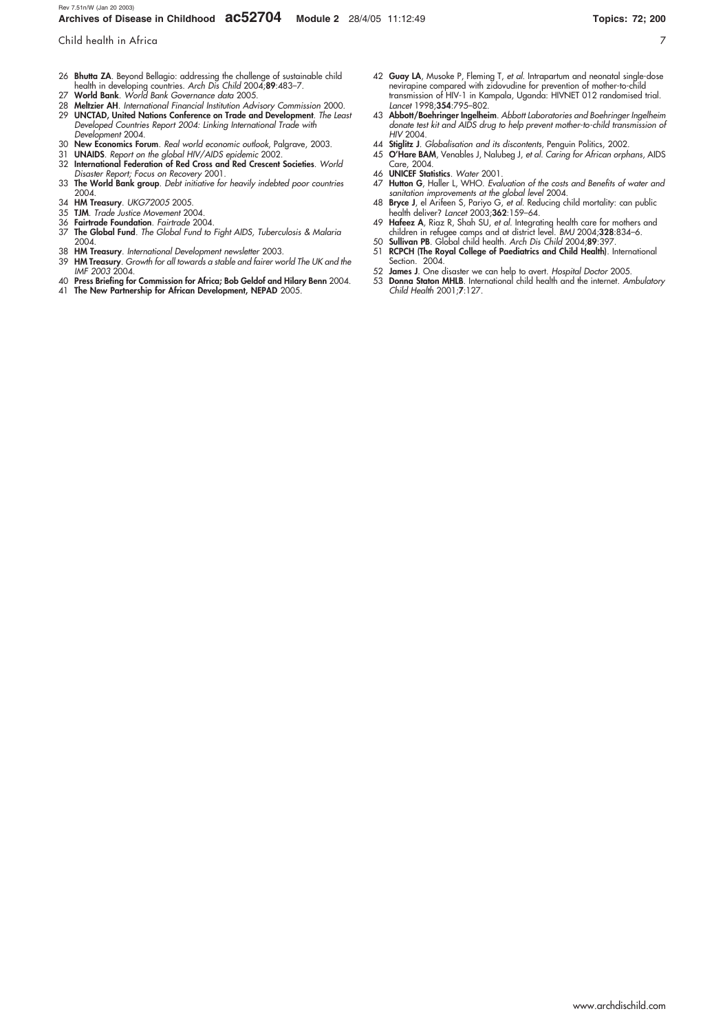Child health in Africa 7

- 26 Bhutta ZA. Beyond Bellagio: addressing the challenge of sustainable child health in developing countries. Arch Dis Child 2004;89:483–7.
- World Bank. World Bank Governance data 2005.
- 28 Meltzier AH. International Financial Institution Advisory Commission 2000.<br>29 UNCTAD. United Nations Conference on Trade and Development The Lea UNCTAD, United Nations Conference on Trade and Development. The Least
- Developed Countries Report 2004: Linking International Trade with Development 2004.
- 30 New Economics Forum. Real world economic outlook, Palgrave, 2003.<br>31 UNAIDS. Report on the global HIV/AIDS epidemic 2002.
- 31 UNAIDS. Report on the global HIV/AIDS epidemic 2002.<br>32 International Federation of Red Cross and Red Crescent
- International Federation of Red Cross and Red Crescent Societies. World Disaster Report; Focus on Recovery 2001.
- 33 The World Bank group. Debt initiative for heavily indebted poor countries 2004.
- 34 HM Treasury. UKG72005 2005. 35 TJM. Trade Justice Movement 2004.
- 
- 36 Fairtrade Foundation. Fairtrade 2004.<br>37 The Global Fund. The Global Fund to The Global Fund. The Global Fund to Fight AIDS, Tuberculosis & Malaria 2004.
- 
- 38 **HM Treasury**. International Development newsletter 2003.<br>39 **HM Treasury**. Growth for all towards a stable and fairer world The UK and the IMF 2003 2004.
- 40 Press Briefing for Commission for Africa; Bob Geldof and Hilary Benn 2004.
- 41 The New Partnership for African Development, NEPAD 2005.
- 42 Guay LA, Musoke P, Fleming T, et al. Intrapartum and neonatal single-dose nevirapine compared with zidovudine for prevention of mother-to-child transmission of HIV-1 in Kampala, Uganda: HIVNET 012 randomised trial. Lancet 1998;354:795–802.
- 43 Abbott/Boehringer Ingelheim. Abbott Laboratories and Boehringer Ingelheim donate test kit and AIDS drug to help prevent mother-to-child transmission of HIV 2004.
- 44 Stiglitz J. Globalisation and its discontents, Penguin Politics, 2002.
- 45 O'Hare BAM, Venables J, Nalubeg J, et al. Caring for African orphans, AIDS Care, 2004.
- 46 UNICEF Statistics. Water 2001.
- 47 **Hutton G**, Haller L, WHO. Evaluation of the costs and Benefits of water and<br>sanitation improvements at the global level 2004.<br>48 **Bryce J**, el Arifeen S, Pariyo G, et al. Reducing child mortality: can public
- health deliver? Lancet 2003;362:159–64.
- 49 **Hafeez A**, Riaz R, Shah SU, *et al.* Integrating health care for mothers and<br>children in refugee camps and at district level. BMJ 2004;**328**:834–6.<br>50 **Sullivan PB**. Global child health. A*rch Dis Child* 2004;**89**:397.
- 51 RCPCH (The Royal College of Paediatrics and Child Health). International
- Section. 2004. 52 James J. One disaster we can help to avert. Hospital Doctor 2005.
- 53 Donna Staton MHLB. International child health and the internet. Ambulatory Child Health 2001;7:127.